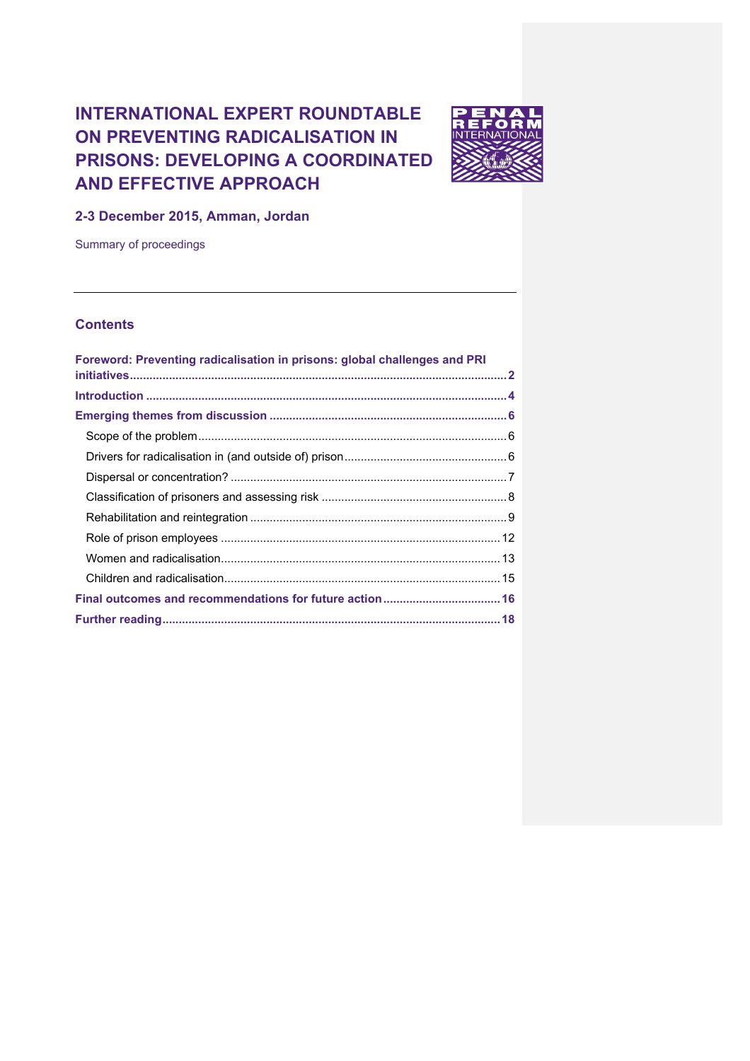# **INTERNATIONAL EXPERT ROUNDTABLE ON PREVENTING RADICALISATION IN PRISONS: DEVELOPING A COORDINATED AND EFFECTIVE APPROACH**



**2-3 December 2015, Amman, Jordan**

Summary of proceedings

# **Contents**

| Foreword: Preventing radicalisation in prisons: global challenges and PRI |  |
|---------------------------------------------------------------------------|--|
|                                                                           |  |
|                                                                           |  |
|                                                                           |  |
|                                                                           |  |
|                                                                           |  |
|                                                                           |  |
|                                                                           |  |
|                                                                           |  |
|                                                                           |  |
|                                                                           |  |
|                                                                           |  |
|                                                                           |  |
|                                                                           |  |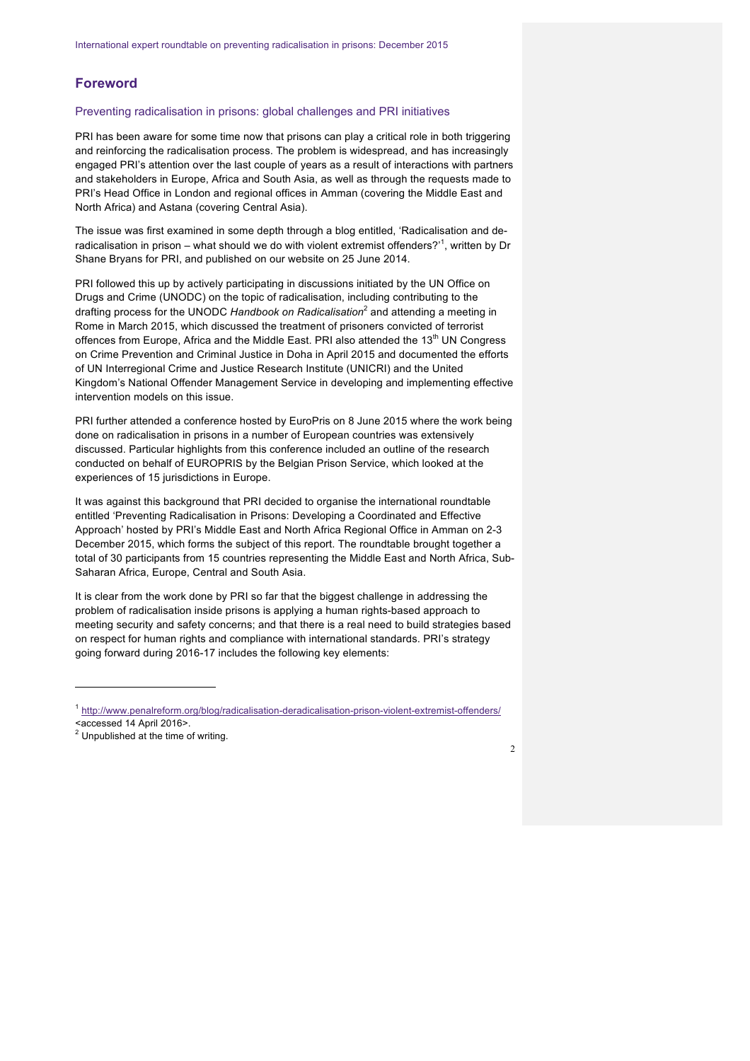# **Foreword**

#### Preventing radicalisation in prisons: global challenges and PRI initiatives

PRI has been aware for some time now that prisons can play a critical role in both triggering and reinforcing the radicalisation process. The problem is widespread, and has increasingly engaged PRI's attention over the last couple of years as a result of interactions with partners and stakeholders in Europe, Africa and South Asia, as well as through the requests made to PRI's Head Office in London and regional offices in Amman (covering the Middle East and North Africa) and Astana (covering Central Asia).

The issue was first examined in some depth through a blog entitled, 'Radicalisation and deradicalisation in prison – what should we do with violent extremist offenders?'<sup>1</sup>, written by Dr Shane Bryans for PRI, and published on our website on 25 June 2014.

PRI followed this up by actively participating in discussions initiated by the UN Office on Drugs and Crime (UNODC) on the topic of radicalisation, including contributing to the drafting process for the UNODC *Handbook on Radicalisation*<sup>2</sup> and attending a meeting in Rome in March 2015, which discussed the treatment of prisoners convicted of terrorist offences from Europe. Africa and the Middle East. PRI also attended the 13<sup>th</sup> UN Congress on Crime Prevention and Criminal Justice in Doha in April 2015 and documented the efforts of UN Interregional Crime and Justice Research Institute (UNICRI) and the United Kingdom's National Offender Management Service in developing and implementing effective intervention models on this issue.

PRI further attended a conference hosted by EuroPris on 8 June 2015 where the work being done on radicalisation in prisons in a number of European countries was extensively discussed. Particular highlights from this conference included an outline of the research conducted on behalf of EUROPRIS by the Belgian Prison Service, which looked at the experiences of 15 jurisdictions in Europe.

It was against this background that PRI decided to organise the international roundtable entitled 'Preventing Radicalisation in Prisons: Developing a Coordinated and Effective Approach' hosted by PRI's Middle East and North Africa Regional Office in Amman on 2-3 December 2015, which forms the subject of this report. The roundtable brought together a total of 30 participants from 15 countries representing the Middle East and North Africa, Sub-Saharan Africa, Europe, Central and South Asia.

It is clear from the work done by PRI so far that the biggest challenge in addressing the problem of radicalisation inside prisons is applying a human rights-based approach to meeting security and safety concerns; and that there is a real need to build strategies based on respect for human rights and compliance with international standards. PRI's strategy going forward during 2016-17 includes the following key elements:

 $\overline{a}$ 



<sup>1</sup> http://www.penalreform.org/blog/radicalisation-deradicalisation-prison-violent-extremist-offenders/ <accessed 14 April 2016>.

<sup>2</sup> Unpublished at the time of writing.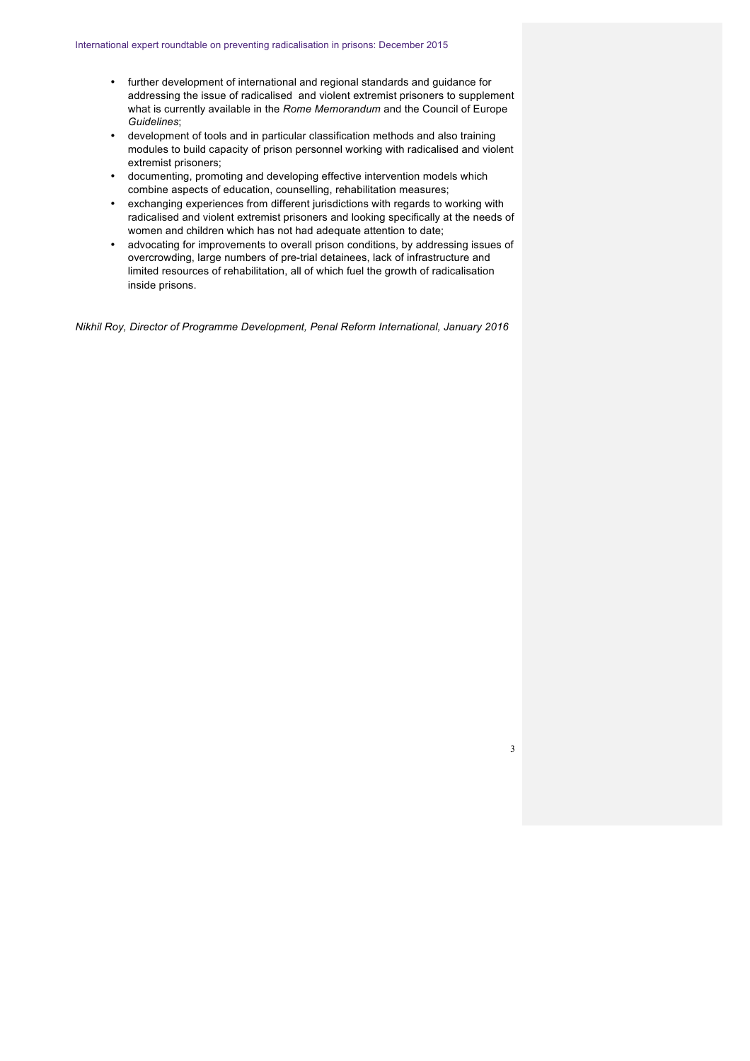- further development of international and regional standards and guidance for addressing the issue of radicalised and violent extremist prisoners to supplement what is currently available in the *Rome Memorandum* and the Council of Europe *Guidelines*;
- development of tools and in particular classification methods and also training modules to build capacity of prison personnel working with radicalised and violent extremist prisoners;
- documenting, promoting and developing effective intervention models which combine aspects of education, counselling, rehabilitation measures;
- exchanging experiences from different jurisdictions with regards to working with radicalised and violent extremist prisoners and looking specifically at the needs of women and children which has not had adequate attention to date;
- advocating for improvements to overall prison conditions, by addressing issues of overcrowding, large numbers of pre-trial detainees, lack of infrastructure and limited resources of rehabilitation, all of which fuel the growth of radicalisation inside prisons.

*Nikhil Roy, Director of Programme Development, Penal Reform International, January 2016*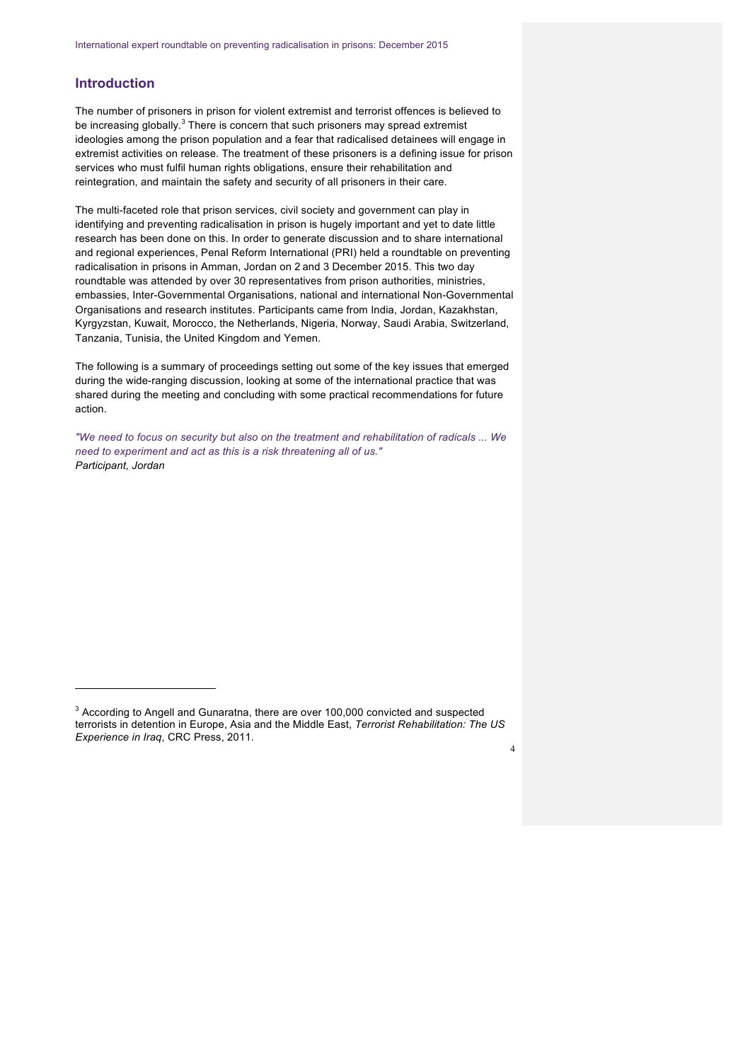# **Introduction**

 $\overline{a}$ 

The number of prisoners in prison for violent extremist and terrorist offences is believed to be increasing globally.<sup>3</sup> There is concern that such prisoners may spread extremist ideologies among the prison population and a fear that radicalised detainees will engage in extremist activities on release. The treatment of these prisoners is a defining issue for prison services who must fulfil human rights obligations, ensure their rehabilitation and reintegration, and maintain the safety and security of all prisoners in their care.

The multi-faceted role that prison services, civil society and government can play in identifying and preventing radicalisation in prison is hugely important and yet to date little research has been done on this. In order to generate discussion and to share international and regional experiences, Penal Reform International (PRI) held a roundtable on preventing radicalisation in prisons in Amman, Jordan on 2 and 3 December 2015. This two day roundtable was attended by over 30 representatives from prison authorities, ministries, embassies, Inter-Governmental Organisations, national and international Non-Governmental Organisations and research institutes. Participants came from India, Jordan, Kazakhstan, Kyrgyzstan, Kuwait, Morocco, the Netherlands, Nigeria, Norway, Saudi Arabia, Switzerland, Tanzania, Tunisia, the United Kingdom and Yemen.

The following is a summary of proceedings setting out some of the key issues that emerged during the wide-ranging discussion, looking at some of the international practice that was shared during the meeting and concluding with some practical recommendations for future action.

*"We need to focus on security but also on the treatment and rehabilitation of radicals ... We need to experiment and act as this is a risk threatening all of us." Participant, Jordan*

<sup>&</sup>lt;sup>3</sup> According to Angell and Gunaratna, there are over 100,000 convicted and suspected terrorists in detention in Europe, Asia and the Middle East, *Terrorist Rehabilitation: The US Experience in Iraq*, CRC Press, 2011.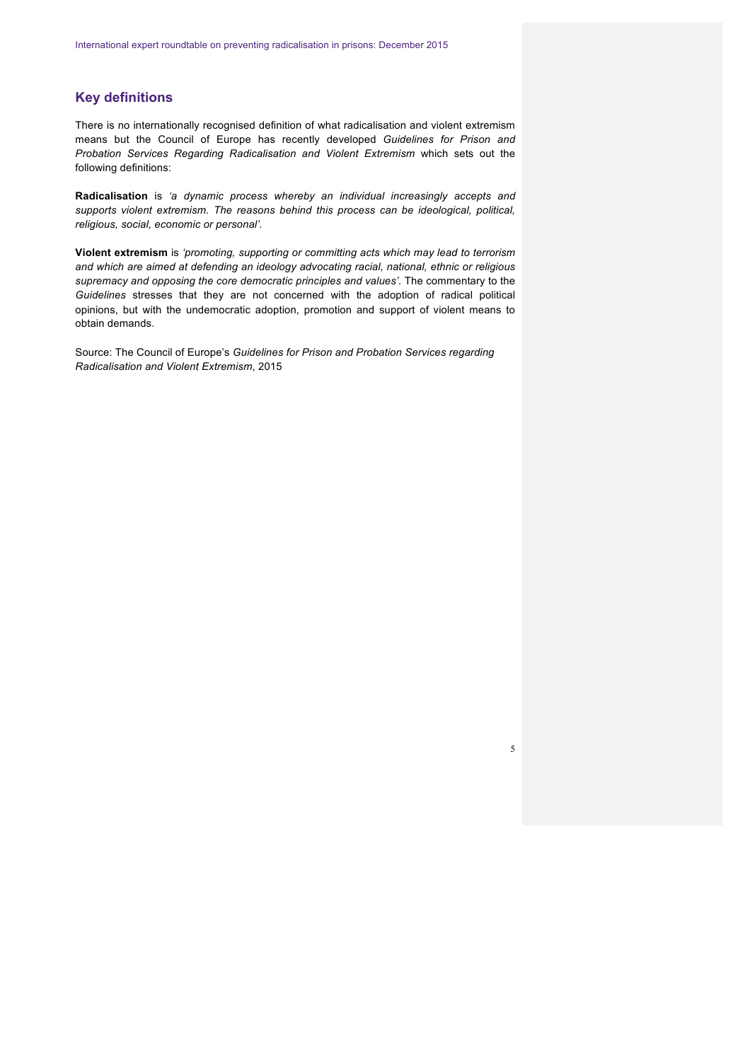# **Key definitions**

There is no internationally recognised definition of what radicalisation and violent extremism means but the Council of Europe has recently developed *Guidelines for Prison and Probation Services Regarding Radicalisation and Violent Extremism* which sets out the following definitions:

**Radicalisation** is *'a dynamic process whereby an individual increasingly accepts and supports violent extremism. The reasons behind this process can be ideological, political, religious, social, economic or personal'.*

**Violent extremism** is *'promoting, supporting or committing acts which may lead to terrorism and which are aimed at defending an ideology advocating racial, national, ethnic or religious supremacy and opposing the core democratic principles and values'.* The commentary to the *Guidelines* stresses that they are not concerned with the adoption of radical political opinions, but with the undemocratic adoption, promotion and support of violent means to obtain demands.

Source: The Council of Europe's *Guidelines for Prison and Probation Services regarding Radicalisation and Violent Extremism*, 2015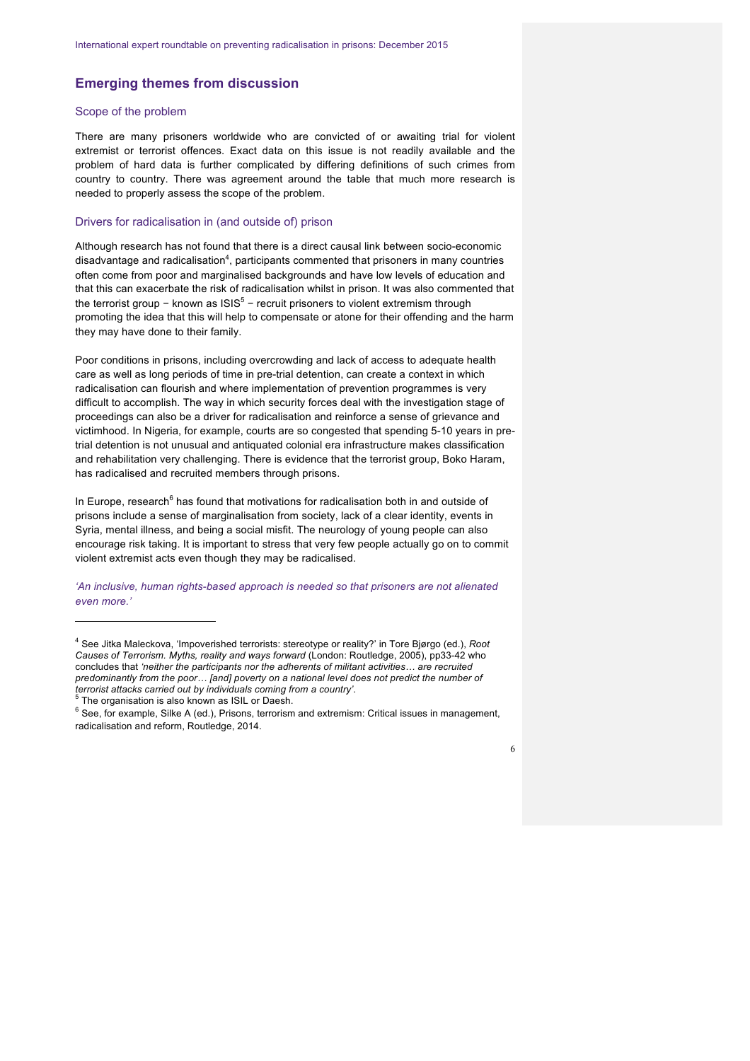# **Emerging themes from discussion**

# Scope of the problem

There are many prisoners worldwide who are convicted of or awaiting trial for violent extremist or terrorist offences. Exact data on this issue is not readily available and the problem of hard data is further complicated by differing definitions of such crimes from country to country. There was agreement around the table that much more research is needed to properly assess the scope of the problem.

## Drivers for radicalisation in (and outside of) prison

Although research has not found that there is a direct causal link between socio-economic disadvantage and radicalisation<sup>4</sup>, participants commented that prisoners in many countries often come from poor and marginalised backgrounds and have low levels of education and that this can exacerbate the risk of radicalisation whilst in prison. It was also commented that the terrorist group – known as  $1SIS<sup>5</sup>$  – recruit prisoners to violent extremism through promoting the idea that this will help to compensate or atone for their offending and the harm they may have done to their family.

Poor conditions in prisons, including overcrowding and lack of access to adequate health care as well as long periods of time in pre-trial detention, can create a context in which radicalisation can flourish and where implementation of prevention programmes is very difficult to accomplish. The way in which security forces deal with the investigation stage of proceedings can also be a driver for radicalisation and reinforce a sense of grievance and victimhood. In Nigeria, for example, courts are so congested that spending 5-10 years in pretrial detention is not unusual and antiquated colonial era infrastructure makes classification and rehabilitation very challenging. There is evidence that the terrorist group, Boko Haram, has radicalised and recruited members through prisons.

In Europe, research<sup>6</sup> has found that motivations for radicalisation both in and outside of prisons include a sense of marginalisation from society, lack of a clear identity, events in Syria, mental illness, and being a social misfit. The neurology of young people can also encourage risk taking. It is important to stress that very few people actually go on to commit violent extremist acts even though they may be radicalised.

*'An inclusive, human rights-based approach is needed so that prisoners are not alienated even more.'*

 $\overline{a}$ 

 $5$  The organisation is also known as ISIL or Daesh.<br> $6$  See, for example, Silke A (ed.), Prisons, terrorism and extremism: Critical issues in management, radicalisation and reform, Routledge, 2014.



<sup>4</sup> See Jitka Maleckova, 'Impoverished terrorists: stereotype or reality?' in Tore Bjørgo (ed.), *Root Causes of Terrorism. Myths, reality and ways forward* (London: Routledge, 2005), pp33-42 who concludes that *'neither the participants nor the adherents of militant activities… are recruited predominantly from the poor…* [and] poverty on a national level does not predict the number of terrorist attacks carried out by individuals coming from a country'.<br><sup>5</sup> The organisation is also known as 19.1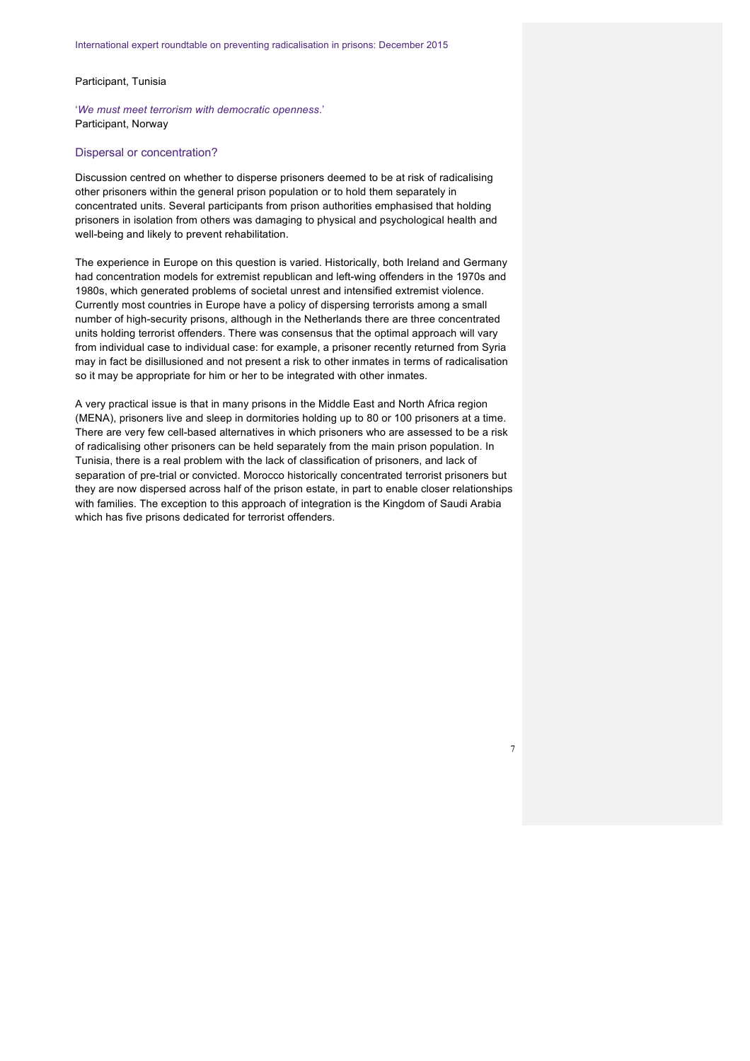## Participant, Tunisia

'*We must meet terrorism with democratic openness*.' Participant, Norway

#### Dispersal or concentration?

Discussion centred on whether to disperse prisoners deemed to be at risk of radicalising other prisoners within the general prison population or to hold them separately in concentrated units. Several participants from prison authorities emphasised that holding prisoners in isolation from others was damaging to physical and psychological health and well-being and likely to prevent rehabilitation.

The experience in Europe on this question is varied. Historically, both Ireland and Germany had concentration models for extremist republican and left-wing offenders in the 1970s and 1980s, which generated problems of societal unrest and intensified extremist violence. Currently most countries in Europe have a policy of dispersing terrorists among a small number of high-security prisons, although in the Netherlands there are three concentrated units holding terrorist offenders. There was consensus that the optimal approach will vary from individual case to individual case: for example, a prisoner recently returned from Syria may in fact be disillusioned and not present a risk to other inmates in terms of radicalisation so it may be appropriate for him or her to be integrated with other inmates.

A very practical issue is that in many prisons in the Middle East and North Africa region (MENA), prisoners live and sleep in dormitories holding up to 80 or 100 prisoners at a time. There are very few cell-based alternatives in which prisoners who are assessed to be a risk of radicalising other prisoners can be held separately from the main prison population. In Tunisia, there is a real problem with the lack of classification of prisoners, and lack of separation of pre-trial or convicted. Morocco historically concentrated terrorist prisoners but they are now dispersed across half of the prison estate, in part to enable closer relationships with families. The exception to this approach of integration is the Kingdom of Saudi Arabia which has five prisons dedicated for terrorist offenders.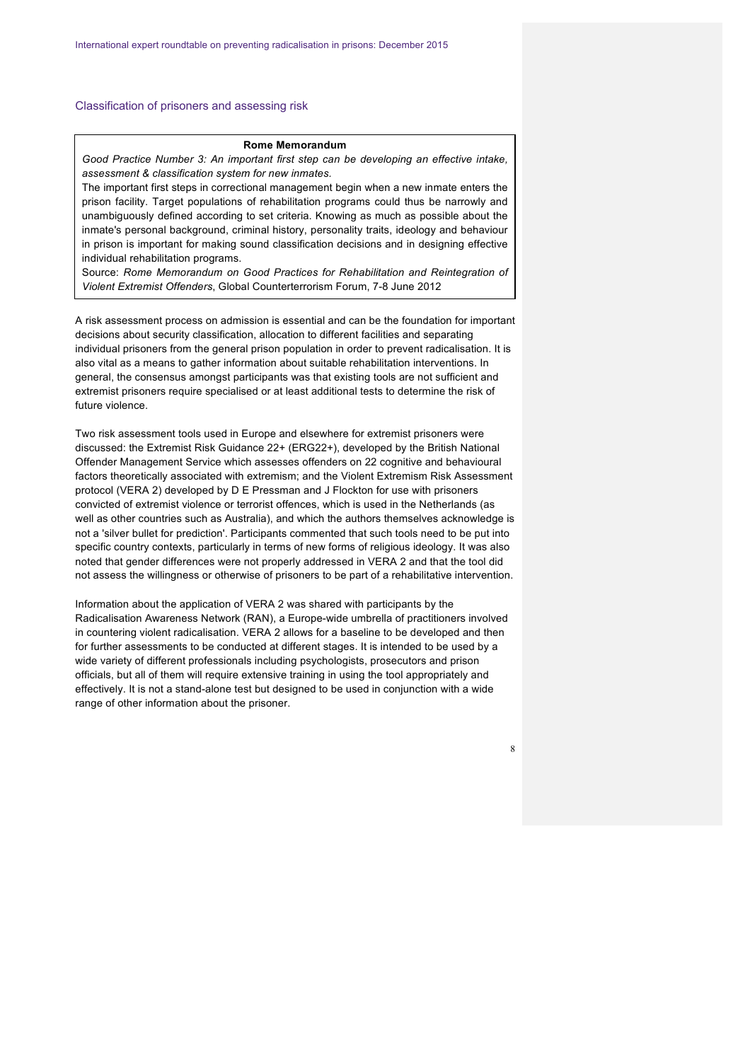## Classification of prisoners and assessing risk

### **Rome Memorandum**

*Good Practice Number 3: An important first step can be developing an effective intake, assessment & classification system for new inmates.* 

The important first steps in correctional management begin when a new inmate enters the prison facility. Target populations of rehabilitation programs could thus be narrowly and unambiguously defined according to set criteria. Knowing as much as possible about the inmate's personal background, criminal history, personality traits, ideology and behaviour in prison is important for making sound classification decisions and in designing effective individual rehabilitation programs.

Source: *Rome Memorandum on Good Practices for Rehabilitation and Reintegration of Violent Extremist Offenders*, Global Counterterrorism Forum, 7-8 June 2012

A risk assessment process on admission is essential and can be the foundation for important decisions about security classification, allocation to different facilities and separating individual prisoners from the general prison population in order to prevent radicalisation. It is also vital as a means to gather information about suitable rehabilitation interventions. In general, the consensus amongst participants was that existing tools are not sufficient and extremist prisoners require specialised or at least additional tests to determine the risk of future violence.

Two risk assessment tools used in Europe and elsewhere for extremist prisoners were discussed: the Extremist Risk Guidance 22+ (ERG22+), developed by the British National Offender Management Service which assesses offenders on 22 cognitive and behavioural factors theoretically associated with extremism; and the Violent Extremism Risk Assessment protocol (VERA 2) developed by D E Pressman and J Flockton for use with prisoners convicted of extremist violence or terrorist offences, which is used in the Netherlands (as well as other countries such as Australia), and which the authors themselves acknowledge is not a 'silver bullet for prediction'. Participants commented that such tools need to be put into specific country contexts, particularly in terms of new forms of religious ideology. It was also noted that gender differences were not properly addressed in VERA 2 and that the tool did not assess the willingness or otherwise of prisoners to be part of a rehabilitative intervention.

Information about the application of VERA 2 was shared with participants by the Radicalisation Awareness Network (RAN), a Europe-wide umbrella of practitioners involved in countering violent radicalisation. VERA 2 allows for a baseline to be developed and then for further assessments to be conducted at different stages. It is intended to be used by a wide variety of different professionals including psychologists, prosecutors and prison officials, but all of them will require extensive training in using the tool appropriately and effectively. It is not a stand-alone test but designed to be used in conjunction with a wide range of other information about the prisoner.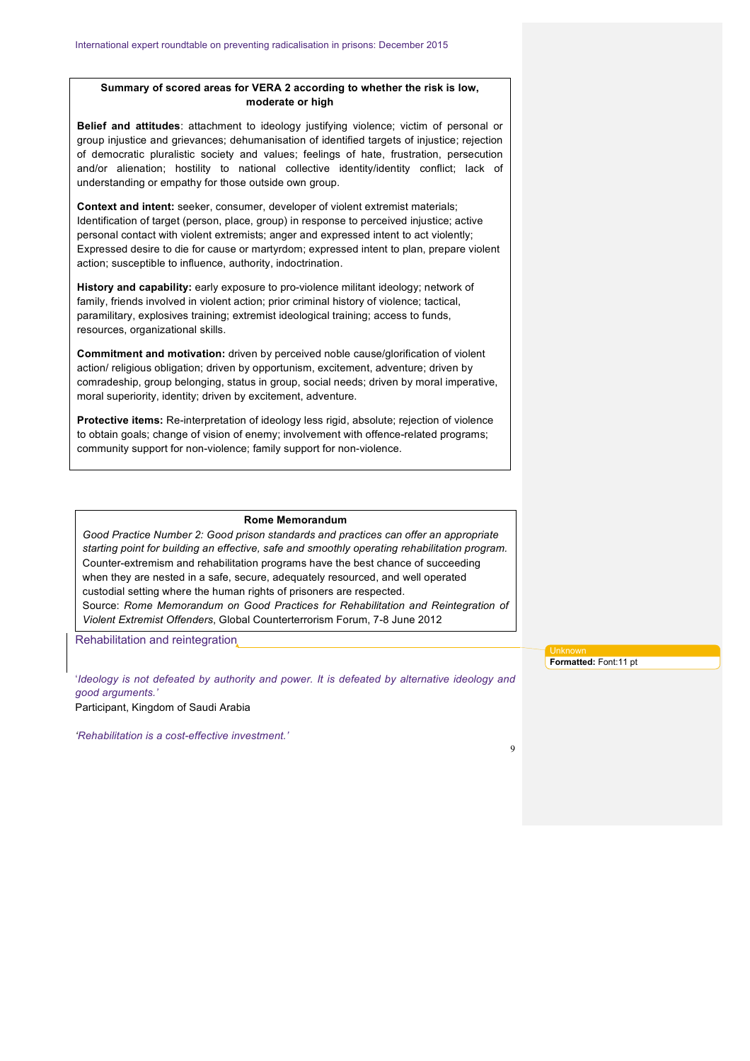# **Summary of scored areas for VERA 2 according to whether the risk is low, moderate or high**

**Belief and attitudes**: attachment to ideology justifying violence; victim of personal or group injustice and grievances; dehumanisation of identified targets of injustice; rejection of democratic pluralistic society and values; feelings of hate, frustration, persecution and/or alienation; hostility to national collective identity/identity conflict; lack of understanding or empathy for those outside own group.

**Context and intent:** seeker, consumer, developer of violent extremist materials; Identification of target (person, place, group) in response to perceived injustice; active personal contact with violent extremists; anger and expressed intent to act violently; Expressed desire to die for cause or martyrdom; expressed intent to plan, prepare violent action; susceptible to influence, authority, indoctrination.

**History and capability:** early exposure to pro-violence militant ideology; network of family, friends involved in violent action; prior criminal history of violence; tactical, paramilitary, explosives training; extremist ideological training; access to funds, resources, organizational skills.

**Commitment and motivation:** driven by perceived noble cause/glorification of violent action/ religious obligation; driven by opportunism, excitement, adventure; driven by comradeship, group belonging, status in group, social needs; driven by moral imperative, moral superiority, identity; driven by excitement, adventure.

**Protective items:** Re-interpretation of ideology less rigid, absolute; rejection of violence to obtain goals; change of vision of enemy; involvement with offence-related programs; community support for non-violence; family support for non-violence.

#### **Rome Memorandum**

*Good Practice Number 2: Good prison standards and practices can offer an appropriate starting point for building an effective, safe and smoothly operating rehabilitation program.* Counter-extremism and rehabilitation programs have the best chance of succeeding when they are nested in a safe, secure, adequately resourced, and well operated custodial setting where the human rights of prisoners are respected. Source: *Rome Memorandum on Good Practices for Rehabilitation and Reintegration of Violent Extremist Offenders*, Global Counterterrorism Forum, 7-8 June 2012

Rehabilitation and reintegration

'*Ideology is not defeated by authority and power. It is defeated by alternative ideology and good arguments.'*

Participant, Kingdom of Saudi Arabia

*'Rehabilitation is a cost-effective investment.'*

**Formatted:** Font:11 pt

 $\overline{Q}$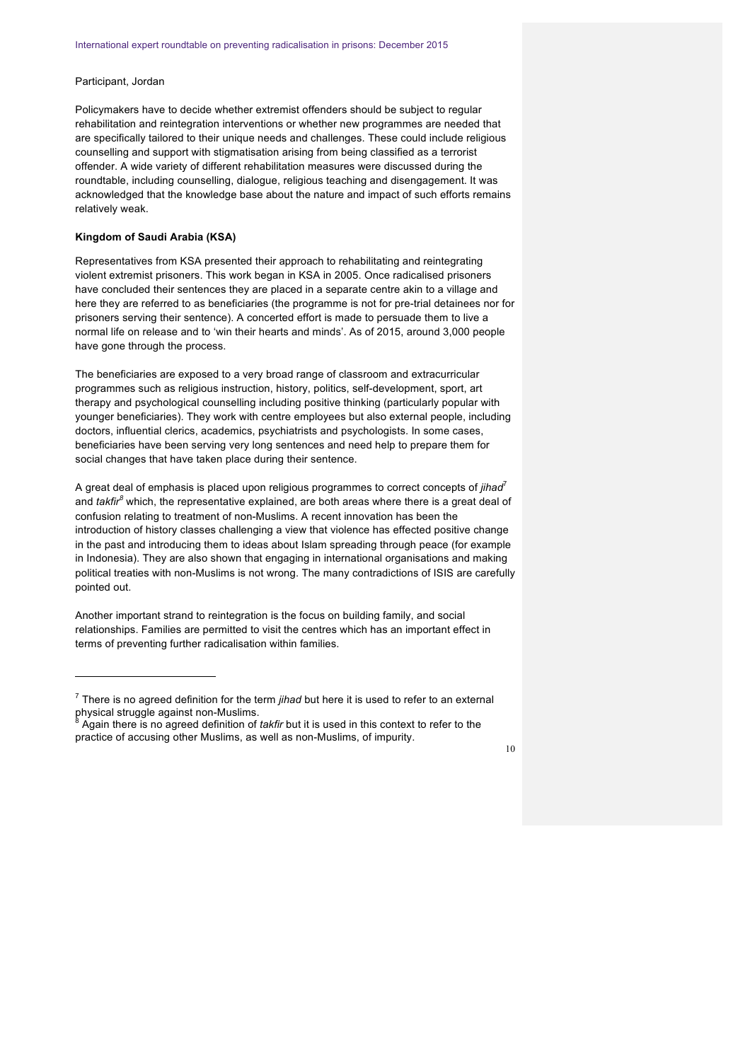# Participant, Jordan

 $\overline{a}$ 

Policymakers have to decide whether extremist offenders should be subject to regular rehabilitation and reintegration interventions or whether new programmes are needed that are specifically tailored to their unique needs and challenges. These could include religious counselling and support with stigmatisation arising from being classified as a terrorist offender. A wide variety of different rehabilitation measures were discussed during the roundtable, including counselling, dialogue, religious teaching and disengagement. It was acknowledged that the knowledge base about the nature and impact of such efforts remains relatively weak.

# **Kingdom of Saudi Arabia (KSA)**

Representatives from KSA presented their approach to rehabilitating and reintegrating violent extremist prisoners. This work began in KSA in 2005. Once radicalised prisoners have concluded their sentences they are placed in a separate centre akin to a village and here they are referred to as beneficiaries (the programme is not for pre-trial detainees nor for prisoners serving their sentence). A concerted effort is made to persuade them to live a normal life on release and to 'win their hearts and minds'. As of 2015, around 3,000 people have gone through the process.

The beneficiaries are exposed to a very broad range of classroom and extracurricular programmes such as religious instruction, history, politics, self-development, sport, art therapy and psychological counselling including positive thinking (particularly popular with younger beneficiaries). They work with centre employees but also external people, including doctors, influential clerics, academics, psychiatrists and psychologists. In some cases, beneficiaries have been serving very long sentences and need help to prepare them for social changes that have taken place during their sentence.

A great deal of emphasis is placed upon religious programmes to correct concepts of *jihad*<sup>7</sup> and *takfir<sup>8</sup>* which, the representative explained, are both areas where there is a great deal of confusion relating to treatment of non-Muslims. A recent innovation has been the introduction of history classes challenging a view that violence has effected positive change in the past and introducing them to ideas about Islam spreading through peace (for example in Indonesia). They are also shown that engaging in international organisations and making political treaties with non-Muslims is not wrong. The many contradictions of ISIS are carefully pointed out.

Another important strand to reintegration is the focus on building family, and social relationships. Families are permitted to visit the centres which has an important effect in terms of preventing further radicalisation within families.

<sup>7</sup> There is no agreed definition for the term *jihad* but here it is used to refer to an external physical struggle against non-Muslims.<br><sup>8</sup> Again there is no agreed definition of *takfir* but it is used in this context to refer to the

practice of accusing other Muslims, as well as non-Muslims, of impurity.

<sup>10</sup>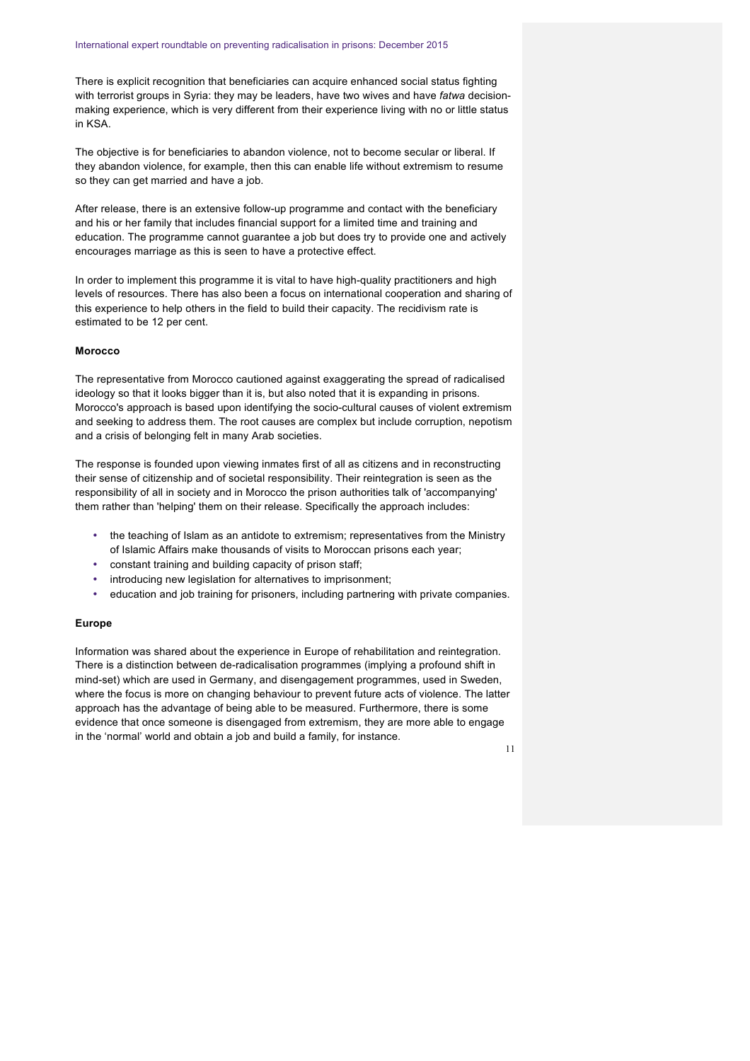There is explicit recognition that beneficiaries can acquire enhanced social status fighting with terrorist groups in Syria: they may be leaders, have two wives and have *fatwa* decisionmaking experience, which is very different from their experience living with no or little status in KSA.

The objective is for beneficiaries to abandon violence, not to become secular or liberal. If they abandon violence, for example, then this can enable life without extremism to resume so they can get married and have a job.

After release, there is an extensive follow-up programme and contact with the beneficiary and his or her family that includes financial support for a limited time and training and education. The programme cannot guarantee a job but does try to provide one and actively encourages marriage as this is seen to have a protective effect.

In order to implement this programme it is vital to have high-quality practitioners and high levels of resources. There has also been a focus on international cooperation and sharing of this experience to help others in the field to build their capacity. The recidivism rate is estimated to be 12 per cent.

## **Morocco**

The representative from Morocco cautioned against exaggerating the spread of radicalised ideology so that it looks bigger than it is, but also noted that it is expanding in prisons. Morocco's approach is based upon identifying the socio-cultural causes of violent extremism and seeking to address them. The root causes are complex but include corruption, nepotism and a crisis of belonging felt in many Arab societies.

The response is founded upon viewing inmates first of all as citizens and in reconstructing their sense of citizenship and of societal responsibility. Their reintegration is seen as the responsibility of all in society and in Morocco the prison authorities talk of 'accompanying' them rather than 'helping' them on their release. Specifically the approach includes:

- the teaching of Islam as an antidote to extremism; representatives from the Ministry of Islamic Affairs make thousands of visits to Moroccan prisons each year;
- constant training and building capacity of prison staff;
- introducing new legislation for alternatives to imprisonment;
- education and job training for prisoners, including partnering with private companies.

### **Europe**

Information was shared about the experience in Europe of rehabilitation and reintegration. There is a distinction between de-radicalisation programmes (implying a profound shift in mind-set) which are used in Germany, and disengagement programmes, used in Sweden, where the focus is more on changing behaviour to prevent future acts of violence. The latter approach has the advantage of being able to be measured. Furthermore, there is some evidence that once someone is disengaged from extremism, they are more able to engage in the 'normal' world and obtain a job and build a family, for instance.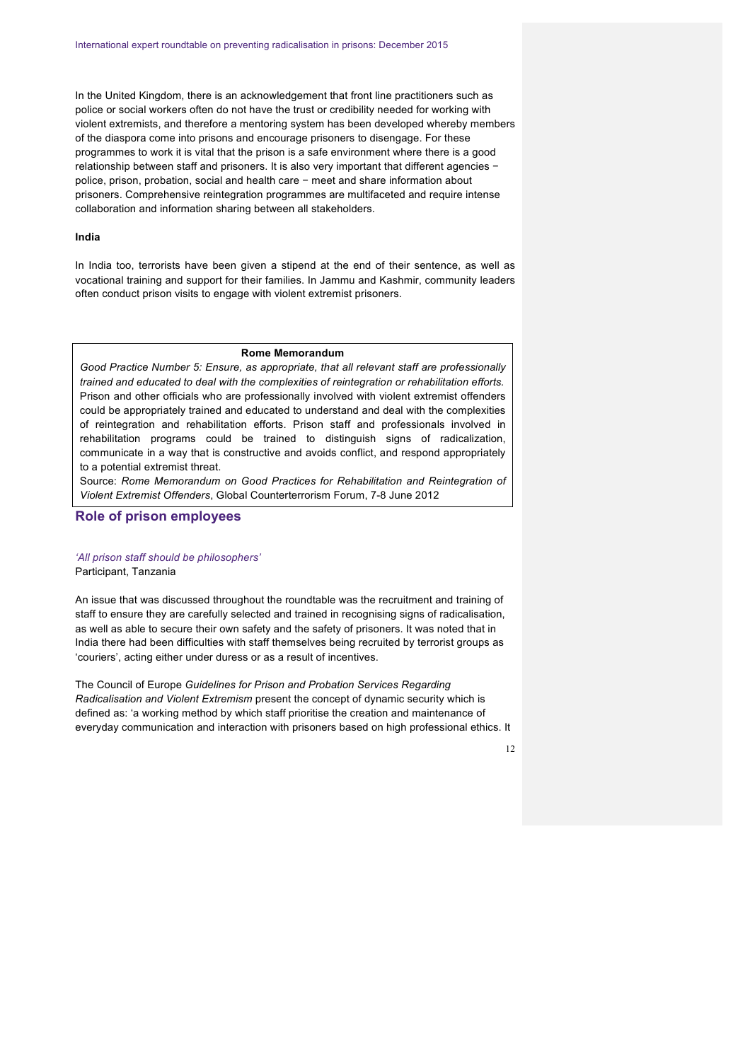In the United Kingdom, there is an acknowledgement that front line practitioners such as police or social workers often do not have the trust or credibility needed for working with violent extremists, and therefore a mentoring system has been developed whereby members of the diaspora come into prisons and encourage prisoners to disengage. For these programmes to work it is vital that the prison is a safe environment where there is a good relationship between staff and prisoners. It is also very important that different agencies − police, prison, probation, social and health care − meet and share information about prisoners. Comprehensive reintegration programmes are multifaceted and require intense collaboration and information sharing between all stakeholders.

#### **India**

In India too, terrorists have been given a stipend at the end of their sentence, as well as vocational training and support for their families. In Jammu and Kashmir, community leaders often conduct prison visits to engage with violent extremist prisoners.

# **Rome Memorandum**

*Good Practice Number 5: Ensure, as appropriate, that all relevant staff are professionally trained and educated to deal with the complexities of reintegration or rehabilitation efforts.*  Prison and other officials who are professionally involved with violent extremist offenders could be appropriately trained and educated to understand and deal with the complexities of reintegration and rehabilitation efforts. Prison staff and professionals involved in rehabilitation programs could be trained to distinguish signs of radicalization, communicate in a way that is constructive and avoids conflict, and respond appropriately to a potential extremist threat.

Source: *Rome Memorandum on Good Practices for Rehabilitation and Reintegration of Violent Extremist Offenders*, Global Counterterrorism Forum, 7-8 June 2012

# **Role of prison employees**

# *'All prison staff should be philosophers'* Participant, Tanzania

An issue that was discussed throughout the roundtable was the recruitment and training of staff to ensure they are carefully selected and trained in recognising signs of radicalisation, as well as able to secure their own safety and the safety of prisoners. It was noted that in India there had been difficulties with staff themselves being recruited by terrorist groups as 'couriers', acting either under duress or as a result of incentives.

The Council of Europe *Guidelines for Prison and Probation Services Regarding Radicalisation and Violent Extremism* present the concept of dynamic security which is defined as: 'a working method by which staff prioritise the creation and maintenance of everyday communication and interaction with prisoners based on high professional ethics. It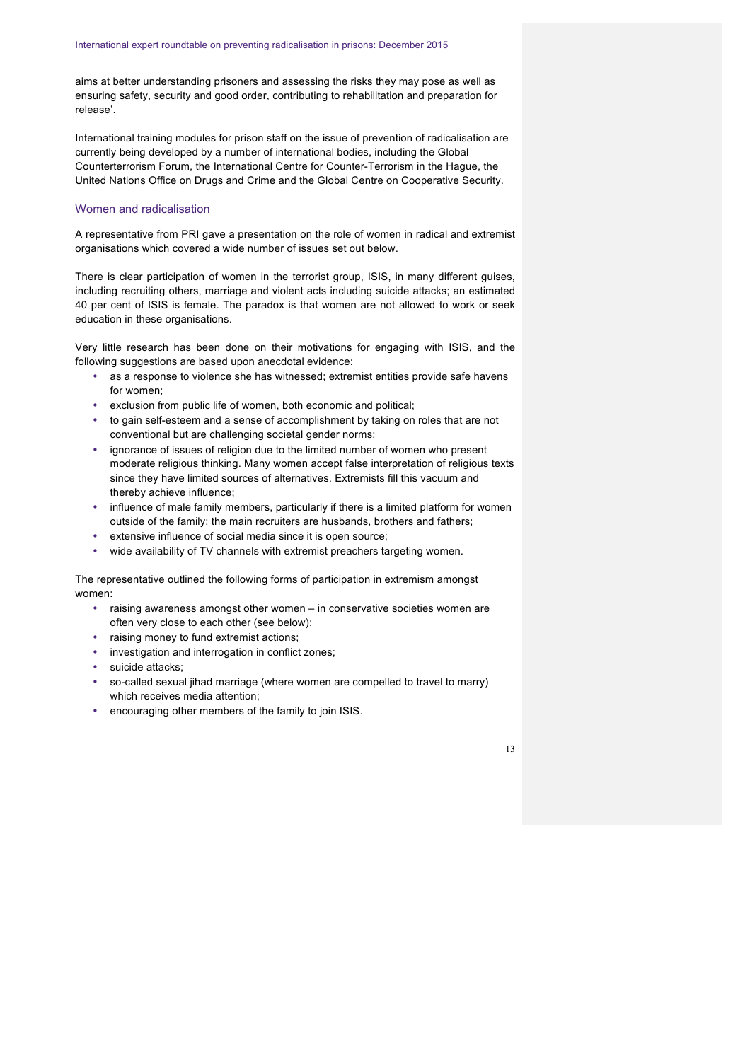aims at better understanding prisoners and assessing the risks they may pose as well as ensuring safety, security and good order, contributing to rehabilitation and preparation for release'.

International training modules for prison staff on the issue of prevention of radicalisation are currently being developed by a number of international bodies, including the Global Counterterrorism Forum, the International Centre for Counter-Terrorism in the Hague, the United Nations Office on Drugs and Crime and the Global Centre on Cooperative Security.

### Women and radicalisation

A representative from PRI gave a presentation on the role of women in radical and extremist organisations which covered a wide number of issues set out below.

There is clear participation of women in the terrorist group, ISIS, in many different guises, including recruiting others, marriage and violent acts including suicide attacks; an estimated 40 per cent of ISIS is female. The paradox is that women are not allowed to work or seek education in these organisations.

Very little research has been done on their motivations for engaging with ISIS, and the following suggestions are based upon anecdotal evidence:

- as a response to violence she has witnessed; extremist entities provide safe havens for women;
- exclusion from public life of women, both economic and political;
- to gain self-esteem and a sense of accomplishment by taking on roles that are not conventional but are challenging societal gender norms;
- ignorance of issues of religion due to the limited number of women who present moderate religious thinking. Many women accept false interpretation of religious texts since they have limited sources of alternatives. Extremists fill this vacuum and thereby achieve influence;
- influence of male family members, particularly if there is a limited platform for women outside of the family; the main recruiters are husbands, brothers and fathers;
- extensive influence of social media since it is open source;
- wide availability of TV channels with extremist preachers targeting women.

The representative outlined the following forms of participation in extremism amongst women:

- raising awareness amongst other women in conservative societies women are often very close to each other (see below);
- raising money to fund extremist actions;
- investigation and interrogation in conflict zones;
- suicide attacks;
- so-called sexual jihad marriage (where women are compelled to travel to marry) which receives media attention;
- encouraging other members of the family to join ISIS.

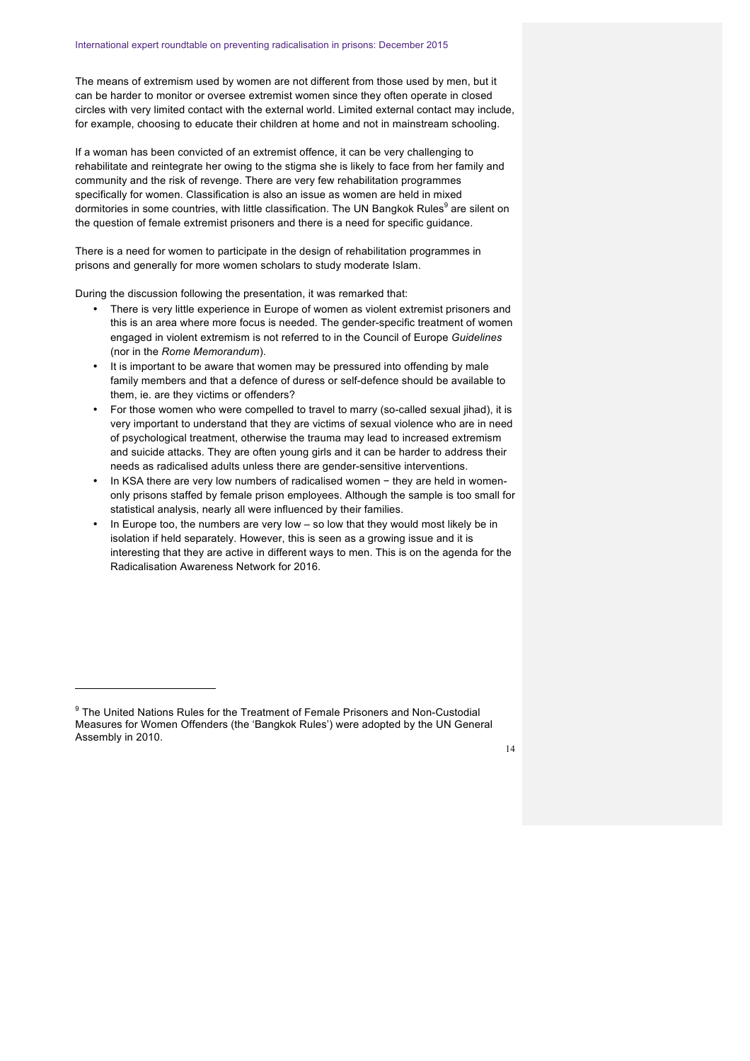The means of extremism used by women are not different from those used by men, but it can be harder to monitor or oversee extremist women since they often operate in closed circles with very limited contact with the external world. Limited external contact may include, for example, choosing to educate their children at home and not in mainstream schooling.

If a woman has been convicted of an extremist offence, it can be very challenging to rehabilitate and reintegrate her owing to the stigma she is likely to face from her family and community and the risk of revenge. There are very few rehabilitation programmes specifically for women. Classification is also an issue as women are held in mixed dormitories in some countries, with little classification. The UN Bangkok Rules<sup>9</sup> are silent on the question of female extremist prisoners and there is a need for specific guidance.

There is a need for women to participate in the design of rehabilitation programmes in prisons and generally for more women scholars to study moderate Islam.

During the discussion following the presentation, it was remarked that:

- There is very little experience in Europe of women as violent extremist prisoners and this is an area where more focus is needed. The gender-specific treatment of women engaged in violent extremism is not referred to in the Council of Europe *Guidelines* (nor in the *Rome Memorandum*).
- It is important to be aware that women may be pressured into offending by male family members and that a defence of duress or self-defence should be available to them, ie. are they victims or offenders?
- For those women who were compelled to travel to marry (so-called sexual jihad), it is very important to understand that they are victims of sexual violence who are in need of psychological treatment, otherwise the trauma may lead to increased extremism and suicide attacks. They are often young girls and it can be harder to address their needs as radicalised adults unless there are gender-sensitive interventions.
- In KSA there are very low numbers of radicalised women − they are held in womenonly prisons staffed by female prison employees. Although the sample is too small for statistical analysis, nearly all were influenced by their families.
- In Europe too, the numbers are very low so low that they would most likely be in isolation if held separately. However, this is seen as a growing issue and it is interesting that they are active in different ways to men. This is on the agenda for the Radicalisation Awareness Network for 2016.

 $\overline{a}$ 



<sup>&</sup>lt;sup>9</sup> The United Nations Rules for the Treatment of Female Prisoners and Non-Custodial Measures for Women Offenders (the 'Bangkok Rules') were adopted by the UN General Assembly in 2010.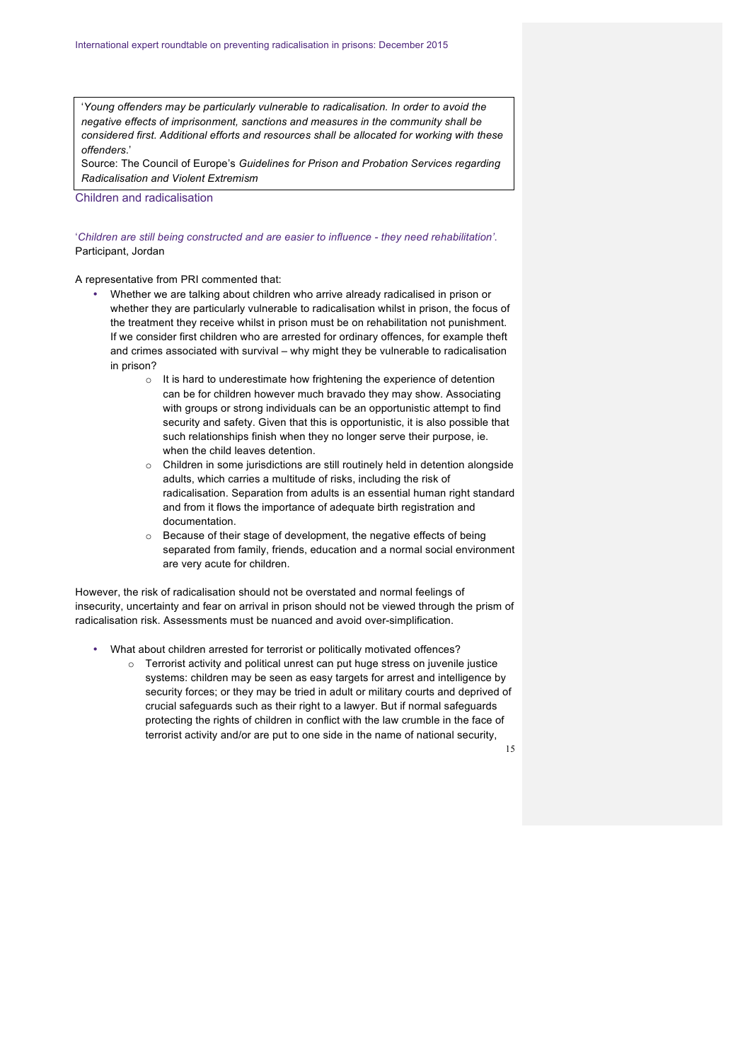'*Young offenders may be particularly vulnerable to radicalisation. In order to avoid the negative effects of imprisonment, sanctions and measures in the community shall be considered first. Additional efforts and resources shall be allocated for working with these offenders*.'

Source: The Council of Europe's *Guidelines for Prison and Probation Services regarding Radicalisation and Violent Extremism* 

Children and radicalisation

'*Children are still being constructed and are easier to influence - they need rehabilitation'*. Participant, Jordan

A representative from PRI commented that:

- Whether we are talking about children who arrive already radicalised in prison or whether they are particularly vulnerable to radicalisation whilst in prison, the focus of the treatment they receive whilst in prison must be on rehabilitation not punishment. If we consider first children who are arrested for ordinary offences, for example theft and crimes associated with survival – why might they be vulnerable to radicalisation in prison?
	- o It is hard to underestimate how frightening the experience of detention can be for children however much bravado they may show. Associating with groups or strong individuals can be an opportunistic attempt to find security and safety. Given that this is opportunistic, it is also possible that such relationships finish when they no longer serve their purpose, ie. when the child leaves detention.
	- o Children in some jurisdictions are still routinely held in detention alongside adults, which carries a multitude of risks, including the risk of radicalisation. Separation from adults is an essential human right standard and from it flows the importance of adequate birth registration and documentation.
	- o Because of their stage of development, the negative effects of being separated from family, friends, education and a normal social environment are very acute for children.

However, the risk of radicalisation should not be overstated and normal feelings of insecurity, uncertainty and fear on arrival in prison should not be viewed through the prism of radicalisation risk. Assessments must be nuanced and avoid over-simplification.

- What about children arrested for terrorist or politically motivated offences?
	- o Terrorist activity and political unrest can put huge stress on juvenile justice systems: children may be seen as easy targets for arrest and intelligence by security forces; or they may be tried in adult or military courts and deprived of crucial safeguards such as their right to a lawyer. But if normal safeguards protecting the rights of children in conflict with the law crumble in the face of terrorist activity and/or are put to one side in the name of national security,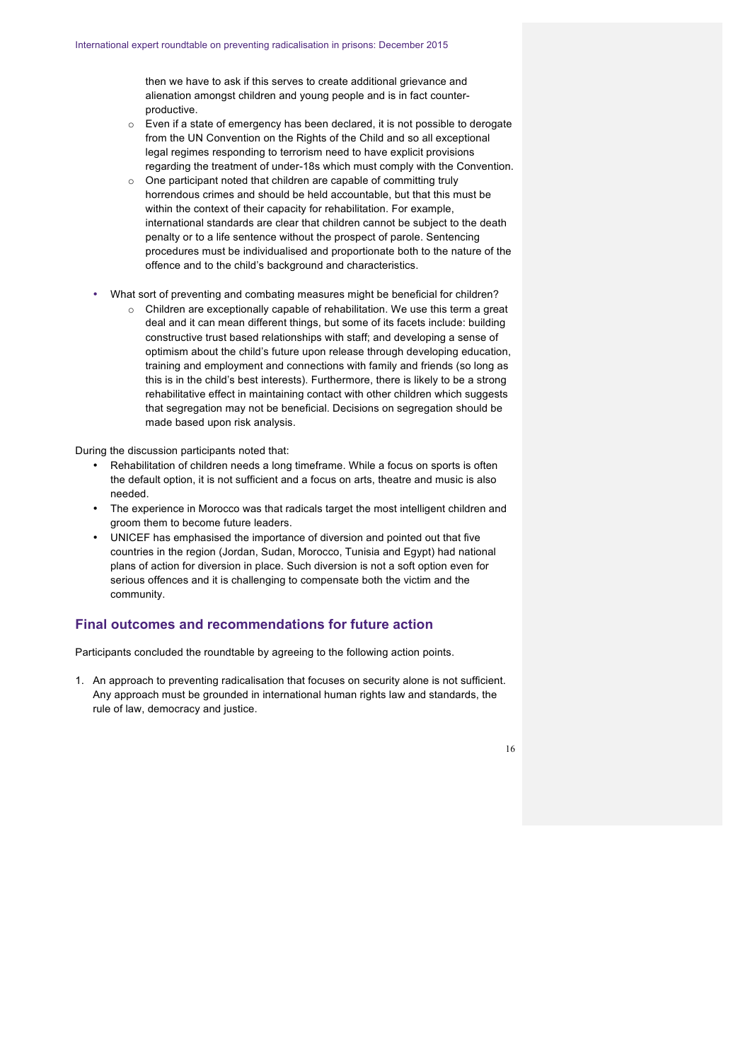then we have to ask if this serves to create additional grievance and alienation amongst children and young people and is in fact counterproductive.

- o Even if a state of emergency has been declared, it is not possible to derogate from the UN Convention on the Rights of the Child and so all exceptional legal regimes responding to terrorism need to have explicit provisions regarding the treatment of under-18s which must comply with the Convention.
- o One participant noted that children are capable of committing truly horrendous crimes and should be held accountable, but that this must be within the context of their capacity for rehabilitation. For example, international standards are clear that children cannot be subject to the death penalty or to a life sentence without the prospect of parole. Sentencing procedures must be individualised and proportionate both to the nature of the offence and to the child's background and characteristics.
- What sort of preventing and combating measures might be beneficial for children?
	- o Children are exceptionally capable of rehabilitation. We use this term a great deal and it can mean different things, but some of its facets include: building constructive trust based relationships with staff; and developing a sense of optimism about the child's future upon release through developing education, training and employment and connections with family and friends (so long as this is in the child's best interests). Furthermore, there is likely to be a strong rehabilitative effect in maintaining contact with other children which suggests that segregation may not be beneficial. Decisions on segregation should be made based upon risk analysis.

During the discussion participants noted that:

- Rehabilitation of children needs a long timeframe. While a focus on sports is often the default option, it is not sufficient and a focus on arts, theatre and music is also needed.
- The experience in Morocco was that radicals target the most intelligent children and groom them to become future leaders.
- UNICEF has emphasised the importance of diversion and pointed out that five countries in the region (Jordan, Sudan, Morocco, Tunisia and Egypt) had national plans of action for diversion in place. Such diversion is not a soft option even for serious offences and it is challenging to compensate both the victim and the community.

# **Final outcomes and recommendations for future action**

Participants concluded the roundtable by agreeing to the following action points.

1. An approach to preventing radicalisation that focuses on security alone is not sufficient. Any approach must be grounded in international human rights law and standards, the rule of law, democracy and justice.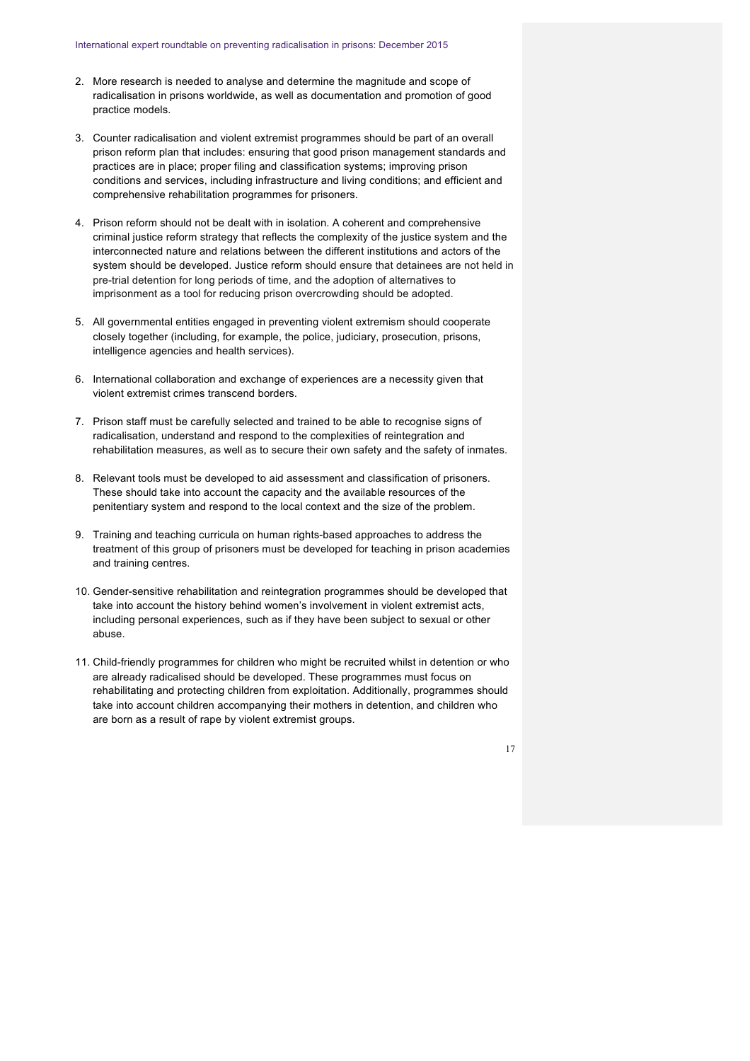- 2. More research is needed to analyse and determine the magnitude and scope of radicalisation in prisons worldwide, as well as documentation and promotion of good practice models.
- 3. Counter radicalisation and violent extremist programmes should be part of an overall prison reform plan that includes: ensuring that good prison management standards and practices are in place; proper filing and classification systems; improving prison conditions and services, including infrastructure and living conditions; and efficient and comprehensive rehabilitation programmes for prisoners.
- 4. Prison reform should not be dealt with in isolation. A coherent and comprehensive criminal justice reform strategy that reflects the complexity of the justice system and the interconnected nature and relations between the different institutions and actors of the system should be developed. Justice reform should ensure that detainees are not held in pre-trial detention for long periods of time, and the adoption of alternatives to imprisonment as a tool for reducing prison overcrowding should be adopted.
- 5. All governmental entities engaged in preventing violent extremism should cooperate closely together (including, for example, the police, judiciary, prosecution, prisons, intelligence agencies and health services).
- 6. International collaboration and exchange of experiences are a necessity given that violent extremist crimes transcend borders.
- 7. Prison staff must be carefully selected and trained to be able to recognise signs of radicalisation, understand and respond to the complexities of reintegration and rehabilitation measures, as well as to secure their own safety and the safety of inmates.
- 8. Relevant tools must be developed to aid assessment and classification of prisoners. These should take into account the capacity and the available resources of the penitentiary system and respond to the local context and the size of the problem.
- 9. Training and teaching curricula on human rights-based approaches to address the treatment of this group of prisoners must be developed for teaching in prison academies and training centres.
- 10. Gender-sensitive rehabilitation and reintegration programmes should be developed that take into account the history behind women's involvement in violent extremist acts, including personal experiences, such as if they have been subject to sexual or other abuse.
- 11. Child-friendly programmes for children who might be recruited whilst in detention or who are already radicalised should be developed. These programmes must focus on rehabilitating and protecting children from exploitation. Additionally, programmes should take into account children accompanying their mothers in detention, and children who are born as a result of rape by violent extremist groups.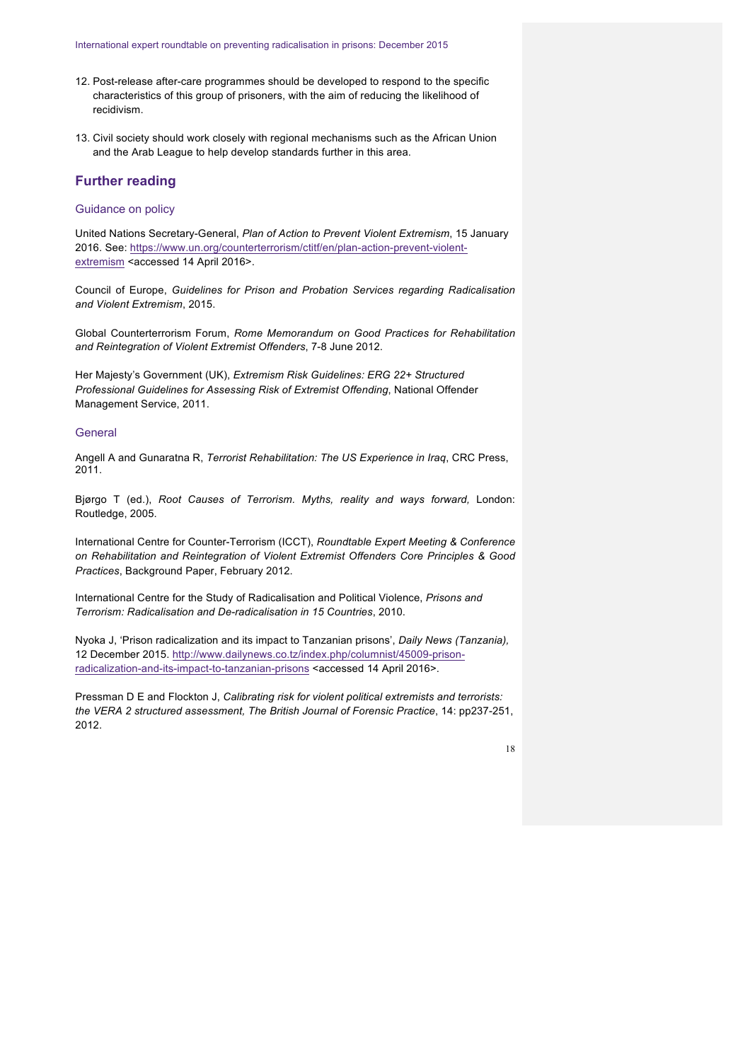- 12. Post-release after-care programmes should be developed to respond to the specific characteristics of this group of prisoners, with the aim of reducing the likelihood of recidivism.
- 13. Civil society should work closely with regional mechanisms such as the African Union and the Arab League to help develop standards further in this area.

# **Further reading**

# Guidance on policy

United Nations Secretary-General, *Plan of Action to Prevent Violent Extremism*, 15 January 2016. See: https://www.un.org/counterterrorism/ctitf/en/plan-action-prevent-violentextremism <accessed 14 April 2016>.

Council of Europe, *Guidelines for Prison and Probation Services regarding Radicalisation and Violent Extremism*, 2015.

Global Counterterrorism Forum, *Rome Memorandum on Good Practices for Rehabilitation and Reintegration of Violent Extremist Offenders*, 7-8 June 2012.

Her Majesty's Government (UK), *Extremism Risk Guidelines: ERG 22+ Structured Professional Guidelines for Assessing Risk of Extremist Offending*, National Offender Management Service, 2011.

### **General**

Angell A and Gunaratna R, *Terrorist Rehabilitation: The US Experience in Iraq*, CRC Press, 2011.

Bjørgo T (ed.), *Root Causes of Terrorism. Myths, reality and ways forward,* London: Routledge, 2005.

International Centre for Counter-Terrorism (ICCT), *Roundtable Expert Meeting & Conference on Rehabilitation and Reintegration of Violent Extremist Offenders Core Principles & Good Practices*, Background Paper, February 2012.

International Centre for the Study of Radicalisation and Political Violence, *Prisons and Terrorism: Radicalisation and De-radicalisation in 15 Countries*, 2010.

Nyoka J, 'Prison radicalization and its impact to Tanzanian prisons', *Daily News (Tanzania),* 12 December 2015. http://www.dailynews.co.tz/index.php/columnist/45009-prisonradicalization-and-its-impact-to-tanzanian-prisons <accessed 14 April 2016>.

Pressman D E and Flockton J, *Calibrating risk for violent political extremists and terrorists: the VERA 2 structured assessment, The British Journal of Forensic Practice*, 14: pp237-251, 2012.